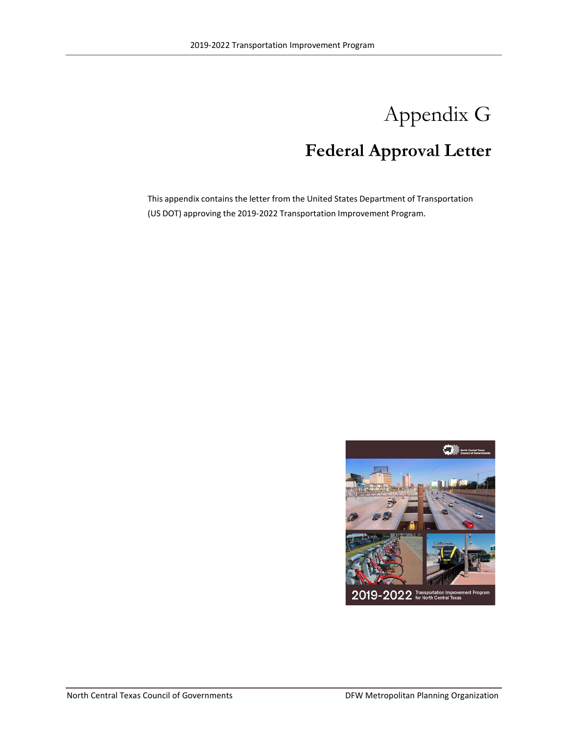# Appendix G **Federal Approval Letter**

This appendix contains the letter from the United States Department of Transportation (US DOT) approving the 2019-2022 Transportation Improvement Program.

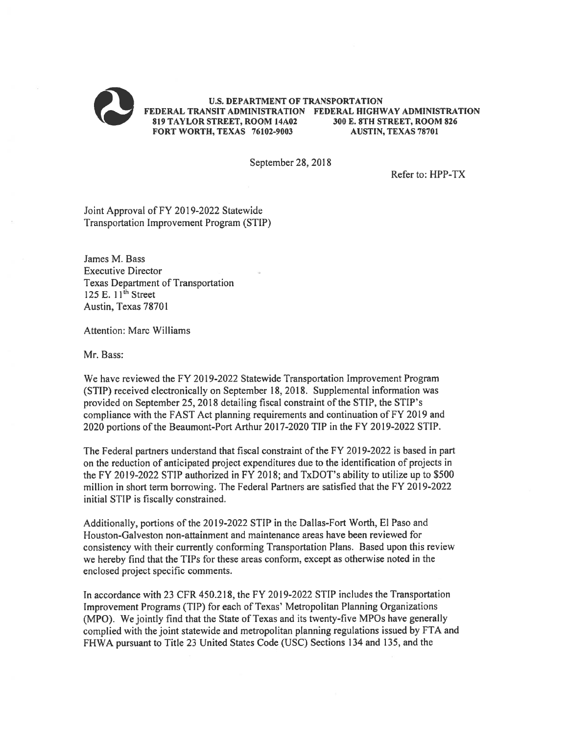

September 28, 2018

Refer to: HPP-TX

Joint Approval of FY 2019-2022 Statewide Transportation Improvement Program (STIP)

James M. Bass **Executive Director Texas Department of Transportation** 125 E.  $11<sup>th</sup>$  Street Austin, Texas 78701

Attention: Marc Williams

Mr. Bass:

We have reviewed the FY 2019-2022 Statewide Transportation Improvement Program (STIP) received electronically on September 18, 2018. Supplemental information was provided on September 25, 2018 detailing fiscal constraint of the STIP, the STIP's compliance with the FAST Act planning requirements and continuation of FY 2019 and 2020 portions of the Beaumont-Port Arthur 2017-2020 TIP in the FY 2019-2022 STIP.

The Federal partners understand that fiscal constraint of the FY 2019-2022 is based in part on the reduction of anticipated project expenditures due to the identification of projects in the FY 2019-2022 STIP authorized in FY 2018; and TxDOT's ability to utilize up to \$500 million in short term borrowing. The Federal Partners are satisfied that the FY 2019-2022 initial STIP is fiscally constrained.

Additionally, portions of the 2019-2022 STIP in the Dallas-Fort Worth, El Paso and Houston-Galveston non-attainment and maintenance areas have been reviewed for consistency with their currently conforming Transportation Plans. Based upon this review we hereby find that the TIPs for these areas conform, except as otherwise noted in the enclosed project specific comments.

In accordance with 23 CFR 450.218, the FY 2019-2022 STIP includes the Transportation Improvement Programs (TIP) for each of Texas' Metropolitan Planning Organizations (MPO). We jointly find that the State of Texas and its twenty-five MPOs have generally complied with the joint statewide and metropolitan planning regulations issued by FTA and FHWA pursuant to Title 23 United States Code (USC) Sections 134 and 135, and the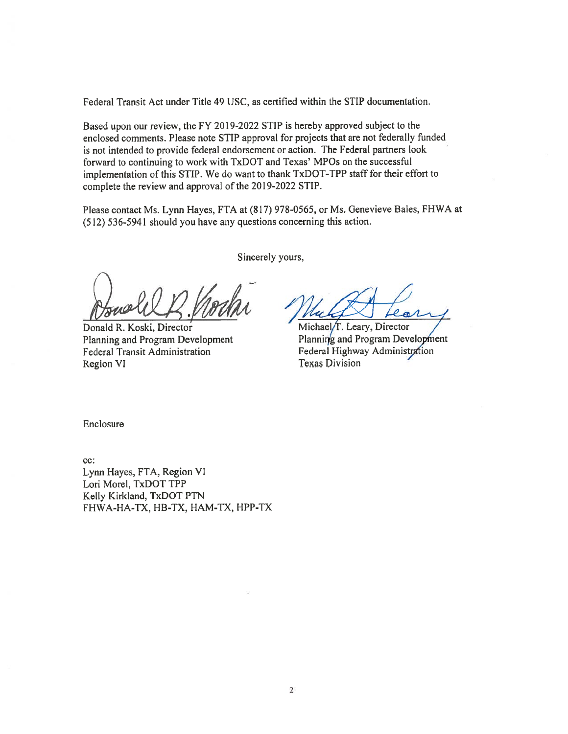Federal Transit Act under Title 49 USC, as certified within the STIP documentation.

Based upon our review, the FY 2019-2022 STIP is hereby approved subject to the enclosed comments. Please note STIP approval for projects that are not federally funded is not intended to provide federal endorsement or action. The Federal partners look forward to continuing to work with TxDOT and Texas' MPOs on the successful implementation of this STIP. We do want to thank TxDOT-TPP staff for their effort to complete the review and approval of the 2019-2022 STIP.

Please contact Ms. Lynn Hayes, FTA at (817) 978-0565, or Ms. Genevieve Bales, FHWA at (512) 536-5941 should you have any questions concerning this action.

Donald R. Koski, Director Planning and Program Development **Federal Transit Administration Region VI** 

Sincerely yours,

 $\overline{a}$ 

Michael/T. Leary, Director Planning and Program Development Federal Highway Administration **Texas Division** 

Enclosure

cc: Lynn Hayes, FTA, Region VI Lori Morel, TxDOT TPP Kelly Kirkland, TxDOT PTN FHWA-HA-TX, HB-TX, HAM-TX, HPP-TX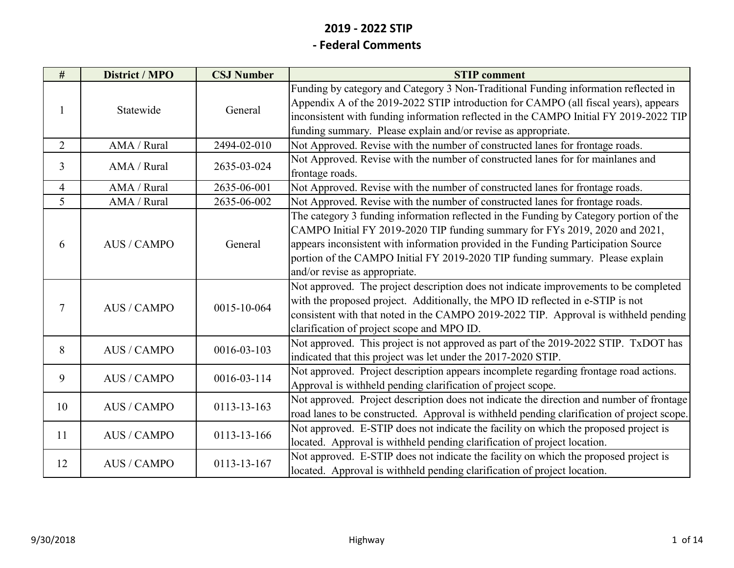# **2019 ‐ 2022 STIP**

#### **‐ Federal Comments**

| #              | <b>District / MPO</b> | <b>CSJ Number</b> | <b>STIP</b> comment                                                                                                                                                                                                                                                                                                                                                           |
|----------------|-----------------------|-------------------|-------------------------------------------------------------------------------------------------------------------------------------------------------------------------------------------------------------------------------------------------------------------------------------------------------------------------------------------------------------------------------|
| 1              | Statewide             | General           | Funding by category and Category 3 Non-Traditional Funding information reflected in<br>Appendix A of the 2019-2022 STIP introduction for CAMPO (all fiscal years), appears<br>inconsistent with funding information reflected in the CAMPO Initial FY 2019-2022 TIP<br>funding summary. Please explain and/or revise as appropriate.                                          |
| $\overline{2}$ | AMA / Rural           | 2494-02-010       | Not Approved. Revise with the number of constructed lanes for frontage roads.                                                                                                                                                                                                                                                                                                 |
| 3              | AMA / Rural           | 2635-03-024       | Not Approved. Revise with the number of constructed lanes for for mainlanes and<br>frontage roads.                                                                                                                                                                                                                                                                            |
| 4              | AMA / Rural           | 2635-06-001       | Not Approved. Revise with the number of constructed lanes for frontage roads.                                                                                                                                                                                                                                                                                                 |
| 5              | AMA / Rural           | 2635-06-002       | Not Approved. Revise with the number of constructed lanes for frontage roads.                                                                                                                                                                                                                                                                                                 |
| 6              | <b>AUS/CAMPO</b>      | General           | The category 3 funding information reflected in the Funding by Category portion of the<br>CAMPO Initial FY 2019-2020 TIP funding summary for FYs 2019, 2020 and 2021,<br>appears inconsistent with information provided in the Funding Participation Source<br>portion of the CAMPO Initial FY 2019-2020 TIP funding summary. Please explain<br>and/or revise as appropriate. |
| $\tau$         | <b>AUS/CAMPO</b>      | 0015-10-064       | Not approved. The project description does not indicate improvements to be completed<br>with the proposed project. Additionally, the MPO ID reflected in e-STIP is not<br>consistent with that noted in the CAMPO 2019-2022 TIP. Approval is withheld pending<br>clarification of project scope and MPO ID.                                                                   |
| 8              | <b>AUS/CAMPO</b>      | 0016-03-103       | Not approved. This project is not approved as part of the 2019-2022 STIP. TxDOT has<br>indicated that this project was let under the 2017-2020 STIP.                                                                                                                                                                                                                          |
| 9              | <b>AUS / CAMPO</b>    | 0016-03-114       | Not approved. Project description appears incomplete regarding frontage road actions.<br>Approval is withheld pending clarification of project scope.                                                                                                                                                                                                                         |
| 10             | <b>AUS/CAMPO</b>      | 0113-13-163       | Not approved. Project description does not indicate the direction and number of frontage<br>road lanes to be constructed. Approval is withheld pending clarification of project scope.                                                                                                                                                                                        |
| 11             | <b>AUS/CAMPO</b>      | 0113-13-166       | Not approved. E-STIP does not indicate the facility on which the proposed project is<br>located. Approval is withheld pending clarification of project location.                                                                                                                                                                                                              |
| 12             | <b>AUS/CAMPO</b>      | 0113-13-167       | Not approved. E-STIP does not indicate the facility on which the proposed project is<br>located. Approval is withheld pending clarification of project location.                                                                                                                                                                                                              |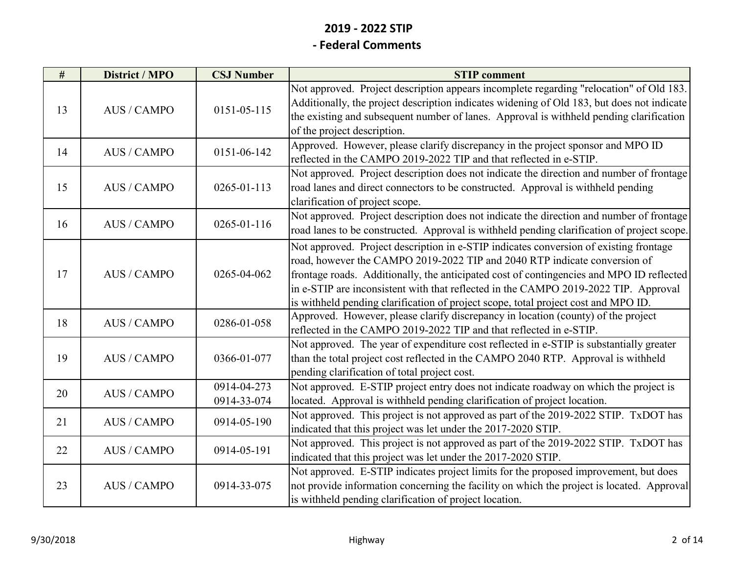| #  | <b>District / MPO</b> | <b>CSJ Number</b>          | <b>STIP</b> comment                                                                                                                                                                                                                                                                                                                                                                                                                         |
|----|-----------------------|----------------------------|---------------------------------------------------------------------------------------------------------------------------------------------------------------------------------------------------------------------------------------------------------------------------------------------------------------------------------------------------------------------------------------------------------------------------------------------|
| 13 | <b>AUS/CAMPO</b>      | $0151 - 05 - 115$          | Not approved. Project description appears incomplete regarding "relocation" of Old 183.<br>Additionally, the project description indicates widening of Old 183, but does not indicate<br>the existing and subsequent number of lanes. Approval is withheld pending clarification<br>of the project description.                                                                                                                             |
| 14 | <b>AUS/CAMPO</b>      | 0151-06-142                | Approved. However, please clarify discrepancy in the project sponsor and MPO ID<br>reflected in the CAMPO 2019-2022 TIP and that reflected in e-STIP.                                                                                                                                                                                                                                                                                       |
| 15 | <b>AUS/CAMPO</b>      | $0265 - 01 - 113$          | Not approved. Project description does not indicate the direction and number of frontage<br>road lanes and direct connectors to be constructed. Approval is withheld pending<br>clarification of project scope.                                                                                                                                                                                                                             |
| 16 | <b>AUS / CAMPO</b>    | 0265-01-116                | Not approved. Project description does not indicate the direction and number of frontage<br>road lanes to be constructed. Approval is withheld pending clarification of project scope.                                                                                                                                                                                                                                                      |
| 17 | <b>AUS/CAMPO</b>      | 0265-04-062                | Not approved. Project description in e-STIP indicates conversion of existing frontage<br>road, however the CAMPO 2019-2022 TIP and 2040 RTP indicate conversion of<br>frontage roads. Additionally, the anticipated cost of contingencies and MPO ID reflected<br>in e-STIP are inconsistent with that reflected in the CAMPO 2019-2022 TIP. Approval<br>is withheld pending clarification of project scope, total project cost and MPO ID. |
| 18 | <b>AUS/CAMPO</b>      | 0286-01-058                | Approved. However, please clarify discrepancy in location (county) of the project<br>reflected in the CAMPO 2019-2022 TIP and that reflected in e-STIP.                                                                                                                                                                                                                                                                                     |
| 19 | <b>AUS/CAMPO</b>      | 0366-01-077                | Not approved. The year of expenditure cost reflected in e-STIP is substantially greater<br>than the total project cost reflected in the CAMPO 2040 RTP. Approval is withheld<br>pending clarification of total project cost.                                                                                                                                                                                                                |
| 20 | <b>AUS/CAMPO</b>      | 0914-04-273<br>0914-33-074 | Not approved. E-STIP project entry does not indicate roadway on which the project is<br>located. Approval is withheld pending clarification of project location.                                                                                                                                                                                                                                                                            |
| 21 | <b>AUS/CAMPO</b>      | 0914-05-190                | Not approved. This project is not approved as part of the 2019-2022 STIP. TxDOT has<br>indicated that this project was let under the 2017-2020 STIP.                                                                                                                                                                                                                                                                                        |
| 22 | <b>AUS / CAMPO</b>    | 0914-05-191                | Not approved. This project is not approved as part of the 2019-2022 STIP. TxDOT has<br>indicated that this project was let under the 2017-2020 STIP.                                                                                                                                                                                                                                                                                        |
| 23 | <b>AUS / CAMPO</b>    | 0914-33-075                | Not approved. E-STIP indicates project limits for the proposed improvement, but does<br>not provide information concerning the facility on which the project is located. Approval<br>is withheld pending clarification of project location.                                                                                                                                                                                                 |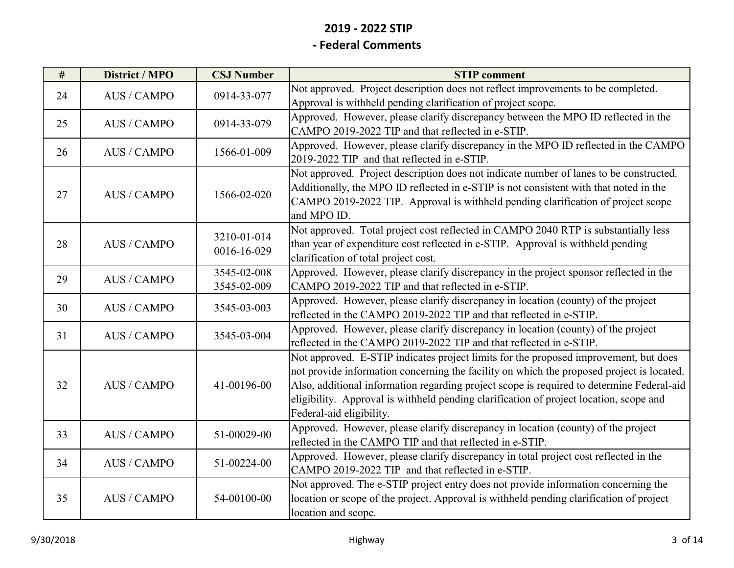| #  | <b>District / MPO</b> | <b>CSJ Number</b> | <b>STIP</b> comment                                                                       |
|----|-----------------------|-------------------|-------------------------------------------------------------------------------------------|
| 24 | <b>AUS/CAMPO</b>      | 0914-33-077       | Not approved. Project description does not reflect improvements to be completed.          |
|    |                       |                   | Approval is withheld pending clarification of project scope.                              |
| 25 | <b>AUS/CAMPO</b>      | 0914-33-079       | Approved. However, please clarify discrepancy between the MPO ID reflected in the         |
|    |                       |                   | CAMPO 2019-2022 TIP and that reflected in e-STIP.                                         |
| 26 | <b>AUS/CAMPO</b>      | 1566-01-009       | Approved. However, please clarify discrepancy in the MPO ID reflected in the CAMPO        |
|    |                       |                   | 2019-2022 TIP and that reflected in e-STIP.                                               |
|    |                       |                   | Not approved. Project description does not indicate number of lanes to be constructed.    |
| 27 | <b>AUS/CAMPO</b>      | 1566-02-020       | Additionally, the MPO ID reflected in e-STIP is not consistent with that noted in the     |
|    |                       |                   | CAMPO 2019-2022 TIP. Approval is withheld pending clarification of project scope          |
|    |                       |                   | and MPO ID.                                                                               |
|    |                       | 3210-01-014       | Not approved. Total project cost reflected in CAMPO 2040 RTP is substantially less        |
| 28 | <b>AUS/CAMPO</b>      | 0016-16-029       | than year of expenditure cost reflected in e-STIP. Approval is withheld pending           |
|    |                       |                   | clarification of total project cost.                                                      |
| 29 | <b>AUS / CAMPO</b>    | 3545-02-008       | Approved. However, please clarify discrepancy in the project sponsor reflected in the     |
|    |                       | 3545-02-009       | CAMPO 2019-2022 TIP and that reflected in e-STIP.                                         |
| 30 | <b>AUS/CAMPO</b>      | 3545-03-003       | Approved. However, please clarify discrepancy in location (county) of the project         |
|    |                       |                   | reflected in the CAMPO 2019-2022 TIP and that reflected in e-STIP.                        |
| 31 | <b>AUS/CAMPO</b>      | 3545-03-004       | Approved. However, please clarify discrepancy in location (county) of the project         |
|    |                       |                   | reflected in the CAMPO 2019-2022 TIP and that reflected in e-STIP.                        |
|    |                       |                   | Not approved. E-STIP indicates project limits for the proposed improvement, but does      |
|    |                       |                   | not provide information concerning the facility on which the proposed project is located. |
| 32 | <b>AUS/CAMPO</b>      | 41-00196-00       | Also, additional information regarding project scope is required to determine Federal-aid |
|    |                       |                   | eligibility. Approval is withheld pending clarification of project location, scope and    |
|    |                       |                   | Federal-aid eligibility.                                                                  |
| 33 | <b>AUS / CAMPO</b>    | 51-00029-00       | Approved. However, please clarify discrepancy in location (county) of the project         |
|    |                       |                   | reflected in the CAMPO TIP and that reflected in e-STIP.                                  |
| 34 |                       |                   | Approved. However, please clarify discrepancy in total project cost reflected in the      |
|    | <b>AUS / CAMPO</b>    | 51-00224-00       | CAMPO 2019-2022 TIP and that reflected in e-STIP.                                         |
|    |                       |                   | Not approved. The e-STIP project entry does not provide information concerning the        |
| 35 | <b>AUS/CAMPO</b>      | 54-00100-00       | location or scope of the project. Approval is withheld pending clarification of project   |
|    |                       |                   | location and scope.                                                                       |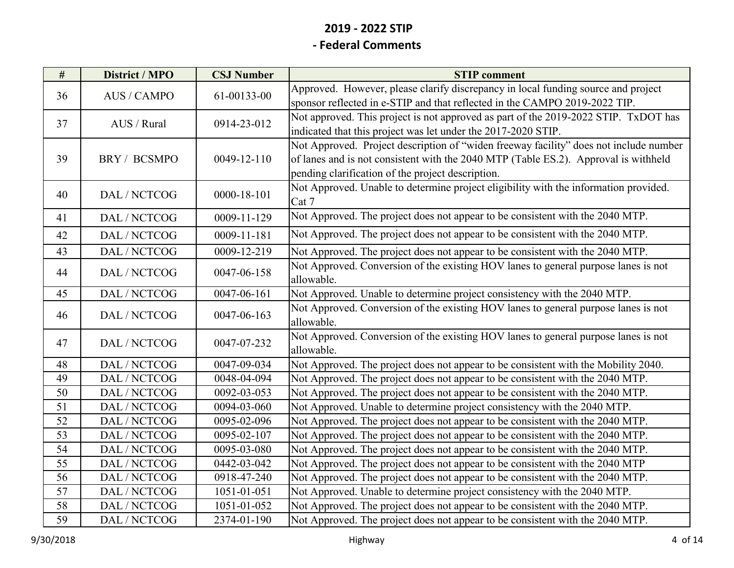| #  | <b>District / MPO</b> | <b>CSJ Number</b>            | <b>STIP</b> comment                                                                   |
|----|-----------------------|------------------------------|---------------------------------------------------------------------------------------|
| 36 | <b>AUS/CAMPO</b>      | 61-00133-00                  | Approved. However, please clarify discrepancy in local funding source and project     |
|    |                       |                              | sponsor reflected in e-STIP and that reflected in the CAMPO 2019-2022 TIP.            |
| 37 | AUS / Rural           | 0914-23-012                  | Not approved. This project is not approved as part of the 2019-2022 STIP. TxDOT has   |
|    |                       |                              | indicated that this project was let under the 2017-2020 STIP.                         |
|    |                       |                              | Not Approved. Project description of "widen freeway facility" does not include number |
| 39 | BRY / BCSMPO          | 0049-12-110                  | of lanes and is not consistent with the 2040 MTP (Table ES.2). Approval is withheld   |
|    |                       |                              | pending clarification of the project description.                                     |
| 40 | DAL / NCTCOG          | $0000 - 18 - 101$            | Not Approved. Unable to determine project eligibility with the information provided.  |
|    |                       |                              | Cat 7                                                                                 |
| 41 | DAL / NCTCOG          | 0009-11-129                  | Not Approved. The project does not appear to be consistent with the 2040 MTP.         |
| 42 | DAL / NCTCOG          | 0009-11-181                  | Not Approved. The project does not appear to be consistent with the 2040 MTP.         |
| 43 | DAL / NCTCOG          | 0009-12-219                  | Not Approved. The project does not appear to be consistent with the 2040 MTP.         |
| 44 | DAL / NCTCOG          | 0047-06-158                  | Not Approved. Conversion of the existing HOV lanes to general purpose lanes is not    |
|    |                       |                              | allowable.                                                                            |
| 45 | DAL / NCTCOG          | 0047-06-161                  | Not Approved. Unable to determine project consistency with the 2040 MTP.              |
| 46 | DAL / NCTCOG          | 0047-06-163                  | Not Approved. Conversion of the existing HOV lanes to general purpose lanes is not    |
|    |                       |                              | allowable.                                                                            |
| 47 | DAL / NCTCOG          | 0047-07-232                  | Not Approved. Conversion of the existing HOV lanes to general purpose lanes is not    |
|    |                       |                              | allowable.                                                                            |
| 48 | DAL / NCTCOG          | 0047-09-034                  | Not Approved. The project does not appear to be consistent with the Mobility 2040.    |
| 49 | DAL / NCTCOG          | 0048-04-094                  | Not Approved. The project does not appear to be consistent with the 2040 MTP.         |
| 50 | DAL / NCTCOG          | 0092-03-053                  | Not Approved. The project does not appear to be consistent with the 2040 MTP.         |
| 51 | DAL / NCTCOG          | 0094-03-060                  | Not Approved. Unable to determine project consistency with the 2040 MTP.              |
| 52 | DAL / NCTCOG          | $\overline{0095} - 02 - 096$ | Not Approved. The project does not appear to be consistent with the 2040 MTP.         |
| 53 | DAL / NCTCOG          | 0095-02-107                  | Not Approved. The project does not appear to be consistent with the 2040 MTP.         |
| 54 | DAL / NCTCOG          | 0095-03-080                  | Not Approved. The project does not appear to be consistent with the 2040 MTP.         |
| 55 | DAL / NCTCOG          | 0442-03-042                  | Not Approved. The project does not appear to be consistent with the 2040 MTP          |
| 56 | DAL / NCTCOG          | 0918-47-240                  | Not Approved. The project does not appear to be consistent with the 2040 MTP.         |
| 57 | DAL / NCTCOG          | 1051-01-051                  | Not Approved. Unable to determine project consistency with the 2040 MTP.              |
| 58 | DAL / NCTCOG          | 1051-01-052                  | Not Approved. The project does not appear to be consistent with the 2040 MTP.         |
| 59 | DAL / NCTCOG          | 2374-01-190                  | Not Approved. The project does not appear to be consistent with the 2040 MTP.         |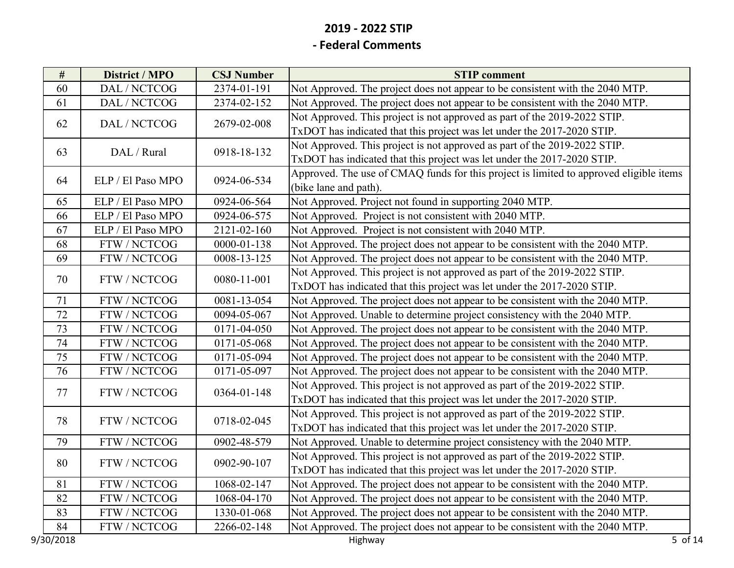| $\#$ | <b>District / MPO</b> | <b>CSJ Number</b> | <b>STIP</b> comment                                                                    |
|------|-----------------------|-------------------|----------------------------------------------------------------------------------------|
| 60   | DAL / NCTCOG          | 2374-01-191       | Not Approved. The project does not appear to be consistent with the 2040 MTP.          |
| 61   | DAL / NCTCOG          | 2374-02-152       | Not Approved. The project does not appear to be consistent with the 2040 MTP.          |
| 62   |                       | 2679-02-008       | Not Approved. This project is not approved as part of the 2019-2022 STIP.              |
|      | DAL / NCTCOG          |                   | TxDOT has indicated that this project was let under the 2017-2020 STIP.                |
|      |                       |                   | Not Approved. This project is not approved as part of the 2019-2022 STIP.              |
| 63   | DAL / Rural           | 0918-18-132       | TxDOT has indicated that this project was let under the 2017-2020 STIP.                |
| 64   | ELP / El Paso MPO     | 0924-06-534       | Approved. The use of CMAQ funds for this project is limited to approved eligible items |
|      |                       |                   | (bike lane and path).                                                                  |
| 65   | ELP / El Paso MPO     | 0924-06-564       | Not Approved. Project not found in supporting 2040 MTP.                                |
| 66   | ELP / El Paso MPO     | 0924-06-575       | Not Approved. Project is not consistent with 2040 MTP.                                 |
| 67   | ELP / El Paso MPO     | 2121-02-160       | Not Approved. Project is not consistent with 2040 MTP.                                 |
| 68   | FTW / NCTCOG          | $0000 - 01 - 138$ | Not Approved. The project does not appear to be consistent with the 2040 MTP.          |
| 69   | FTW / NCTCOG          | 0008-13-125       | Not Approved. The project does not appear to be consistent with the 2040 MTP.          |
| 70   | FTW / NCTCOG          | 0080-11-001       | Not Approved. This project is not approved as part of the 2019-2022 STIP.              |
|      |                       |                   | TxDOT has indicated that this project was let under the 2017-2020 STIP.                |
| 71   | FTW / NCTCOG          | 0081-13-054       | Not Approved. The project does not appear to be consistent with the 2040 MTP.          |
| 72   | FTW / NCTCOG          | 0094-05-067       | Not Approved. Unable to determine project consistency with the 2040 MTP.               |
| 73   | FTW / NCTCOG          | 0171-04-050       | Not Approved. The project does not appear to be consistent with the 2040 MTP.          |
| 74   | FTW / NCTCOG          | 0171-05-068       | Not Approved. The project does not appear to be consistent with the 2040 MTP.          |
| 75   | FTW / NCTCOG          | 0171-05-094       | Not Approved. The project does not appear to be consistent with the 2040 MTP.          |
| 76   | FTW / NCTCOG          | 0171-05-097       | Not Approved. The project does not appear to be consistent with the 2040 MTP.          |
| 77   | FTW / NCTCOG          | 0364-01-148       | Not Approved. This project is not approved as part of the 2019-2022 STIP.              |
|      |                       |                   | TxDOT has indicated that this project was let under the 2017-2020 STIP.                |
| 78   | FTW / NCTCOG          | 0718-02-045       | Not Approved. This project is not approved as part of the 2019-2022 STIP.              |
|      |                       |                   | TxDOT has indicated that this project was let under the 2017-2020 STIP.                |
| 79   | FTW / NCTCOG          | 0902-48-579       | Not Approved. Unable to determine project consistency with the 2040 MTP.               |
| 80   | FTW / NCTCOG          | 0902-90-107       | Not Approved. This project is not approved as part of the 2019-2022 STIP.              |
|      |                       |                   | TxDOT has indicated that this project was let under the 2017-2020 STIP.                |
| 81   | FTW / NCTCOG          | 1068-02-147       | Not Approved. The project does not appear to be consistent with the 2040 MTP.          |
| 82   | FTW / NCTCOG          | 1068-04-170       | Not Approved. The project does not appear to be consistent with the 2040 MTP.          |
| 83   | FTW / NCTCOG          | 1330-01-068       | Not Approved. The project does not appear to be consistent with the 2040 MTP.          |
| 84   | FTW / NCTCOG          | 2266-02-148       | Not Approved. The project does not appear to be consistent with the 2040 MTP.          |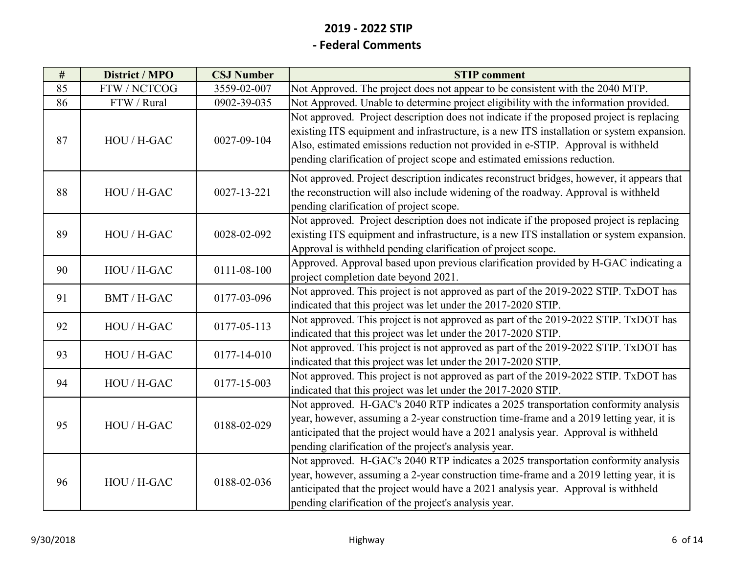| $\#$ | District / MPO | <b>CSJ Number</b> | <b>STIP</b> comment                                                                                                                                                                                                                                                                                                                                    |
|------|----------------|-------------------|--------------------------------------------------------------------------------------------------------------------------------------------------------------------------------------------------------------------------------------------------------------------------------------------------------------------------------------------------------|
| 85   | FTW / NCTCOG   | 3559-02-007       | Not Approved. The project does not appear to be consistent with the 2040 MTP.                                                                                                                                                                                                                                                                          |
| 86   | FTW / Rural    | 0902-39-035       | Not Approved. Unable to determine project eligibility with the information provided.                                                                                                                                                                                                                                                                   |
| 87   | HOU / H-GAC    | 0027-09-104       | Not approved. Project description does not indicate if the proposed project is replacing<br>existing ITS equipment and infrastructure, is a new ITS installation or system expansion.<br>Also, estimated emissions reduction not provided in e-STIP. Approval is withheld<br>pending clarification of project scope and estimated emissions reduction. |
| 88   | HOU / H-GAC    | 0027-13-221       | Not approved. Project description indicates reconstruct bridges, however, it appears that<br>the reconstruction will also include widening of the roadway. Approval is withheld<br>pending clarification of project scope.                                                                                                                             |
| 89   | HOU / H-GAC    | 0028-02-092       | Not approved. Project description does not indicate if the proposed project is replacing<br>existing ITS equipment and infrastructure, is a new ITS installation or system expansion.<br>Approval is withheld pending clarification of project scope.                                                                                                  |
| 90   | HOU / H-GAC    | 0111-08-100       | Approved. Approval based upon previous clarification provided by H-GAC indicating a<br>project completion date beyond 2021.                                                                                                                                                                                                                            |
| 91   | BMT / H-GAC    | 0177-03-096       | Not approved. This project is not approved as part of the 2019-2022 STIP. TxDOT has<br>indicated that this project was let under the 2017-2020 STIP.                                                                                                                                                                                                   |
| 92   | HOU / H-GAC    | 0177-05-113       | Not approved. This project is not approved as part of the 2019-2022 STIP. TxDOT has<br>indicated that this project was let under the 2017-2020 STIP.                                                                                                                                                                                                   |
| 93   | HOU / H-GAC    | 0177-14-010       | Not approved. This project is not approved as part of the 2019-2022 STIP. TxDOT has<br>indicated that this project was let under the 2017-2020 STIP.                                                                                                                                                                                                   |
| 94   | HOU / H-GAC    | 0177-15-003       | Not approved. This project is not approved as part of the 2019-2022 STIP. TxDOT has<br>indicated that this project was let under the 2017-2020 STIP.                                                                                                                                                                                                   |
| 95   | HOU / H-GAC    | 0188-02-029       | Not approved. H-GAC's 2040 RTP indicates a 2025 transportation conformity analysis<br>year, however, assuming a 2-year construction time-frame and a 2019 letting year, it is<br>anticipated that the project would have a 2021 analysis year. Approval is withheld<br>pending clarification of the project's analysis year.                           |
| 96   | HOU / H-GAC    | 0188-02-036       | Not approved. H-GAC's 2040 RTP indicates a 2025 transportation conformity analysis<br>year, however, assuming a 2-year construction time-frame and a 2019 letting year, it is<br>anticipated that the project would have a 2021 analysis year. Approval is withheld<br>pending clarification of the project's analysis year.                           |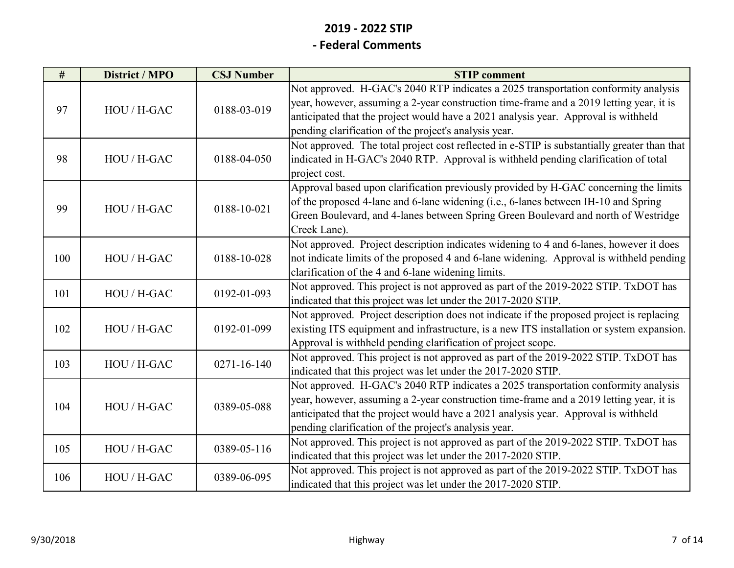| #   | District / MPO | <b>CSJ Number</b> | <b>STIP</b> comment                                                                                                                                                                                                                                                                                                          |
|-----|----------------|-------------------|------------------------------------------------------------------------------------------------------------------------------------------------------------------------------------------------------------------------------------------------------------------------------------------------------------------------------|
| 97  | HOU / H-GAC    | 0188-03-019       | Not approved. H-GAC's 2040 RTP indicates a 2025 transportation conformity analysis<br>year, however, assuming a 2-year construction time-frame and a 2019 letting year, it is<br>anticipated that the project would have a 2021 analysis year. Approval is withheld<br>pending clarification of the project's analysis year. |
| 98  | HOU / H-GAC    | 0188-04-050       | Not approved. The total project cost reflected in e-STIP is substantially greater than that<br>indicated in H-GAC's 2040 RTP. Approval is withheld pending clarification of total<br>project cost.                                                                                                                           |
| 99  | HOU / H-GAC    | 0188-10-021       | Approval based upon clarification previously provided by H-GAC concerning the limits<br>of the proposed 4-lane and 6-lane widening (i.e., 6-lanes between IH-10 and Spring<br>Green Boulevard, and 4-lanes between Spring Green Boulevard and north of Westridge<br>Creek Lane).                                             |
| 100 | HOU / H-GAC    | 0188-10-028       | Not approved. Project description indicates widening to 4 and 6-lanes, however it does<br>not indicate limits of the proposed 4 and 6-lane widening. Approval is withheld pending<br>clarification of the 4 and 6-lane widening limits.                                                                                      |
| 101 | HOU / H-GAC    | 0192-01-093       | Not approved. This project is not approved as part of the 2019-2022 STIP. TxDOT has<br>indicated that this project was let under the 2017-2020 STIP.                                                                                                                                                                         |
| 102 | HOU / H-GAC    | 0192-01-099       | Not approved. Project description does not indicate if the proposed project is replacing<br>existing ITS equipment and infrastructure, is a new ITS installation or system expansion.<br>Approval is withheld pending clarification of project scope.                                                                        |
| 103 | HOU / H-GAC    | $0271 - 16 - 140$ | Not approved. This project is not approved as part of the 2019-2022 STIP. TxDOT has<br>indicated that this project was let under the 2017-2020 STIP.                                                                                                                                                                         |
| 104 | HOU / H-GAC    | 0389-05-088       | Not approved. H-GAC's 2040 RTP indicates a 2025 transportation conformity analysis<br>year, however, assuming a 2-year construction time-frame and a 2019 letting year, it is<br>anticipated that the project would have a 2021 analysis year. Approval is withheld<br>pending clarification of the project's analysis year. |
| 105 | HOU / H-GAC    | 0389-05-116       | Not approved. This project is not approved as part of the 2019-2022 STIP. TxDOT has<br>indicated that this project was let under the 2017-2020 STIP.                                                                                                                                                                         |
| 106 | HOU / H-GAC    | 0389-06-095       | Not approved. This project is not approved as part of the 2019-2022 STIP. TxDOT has<br>indicated that this project was let under the 2017-2020 STIP.                                                                                                                                                                         |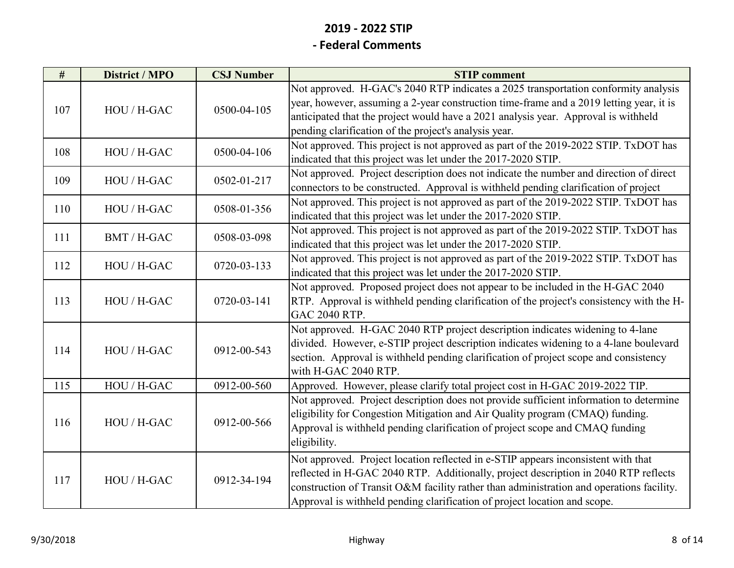| #   | District / MPO | <b>CSJ Number</b> | <b>STIP</b> comment                                                                                                                                                                                                                                                                                                                               |
|-----|----------------|-------------------|---------------------------------------------------------------------------------------------------------------------------------------------------------------------------------------------------------------------------------------------------------------------------------------------------------------------------------------------------|
| 107 | HOU / H-GAC    | 0500-04-105       | Not approved. H-GAC's 2040 RTP indicates a 2025 transportation conformity analysis<br>year, however, assuming a 2-year construction time-frame and a 2019 letting year, it is<br>anticipated that the project would have a 2021 analysis year. Approval is withheld                                                                               |
|     |                |                   | pending clarification of the project's analysis year.                                                                                                                                                                                                                                                                                             |
| 108 | HOU / H-GAC    | 0500-04-106       | Not approved. This project is not approved as part of the 2019-2022 STIP. TxDOT has<br>indicated that this project was let under the 2017-2020 STIP.                                                                                                                                                                                              |
| 109 | HOU / H-GAC    | 0502-01-217       | Not approved. Project description does not indicate the number and direction of direct<br>connectors to be constructed. Approval is withheld pending clarification of project                                                                                                                                                                     |
| 110 | HOU / H-GAC    | 0508-01-356       | Not approved. This project is not approved as part of the 2019-2022 STIP. TxDOT has<br>indicated that this project was let under the 2017-2020 STIP.                                                                                                                                                                                              |
| 111 | BMT / H-GAC    | 0508-03-098       | Not approved. This project is not approved as part of the 2019-2022 STIP. TxDOT has<br>indicated that this project was let under the 2017-2020 STIP.                                                                                                                                                                                              |
| 112 | HOU / H-GAC    | 0720-03-133       | Not approved. This project is not approved as part of the 2019-2022 STIP. TxDOT has<br>indicated that this project was let under the 2017-2020 STIP.                                                                                                                                                                                              |
| 113 | HOU / H-GAC    | 0720-03-141       | Not approved. Proposed project does not appear to be included in the H-GAC 2040<br>RTP. Approval is withheld pending clarification of the project's consistency with the H-<br>GAC 2040 RTP.                                                                                                                                                      |
| 114 | HOU / H-GAC    | 0912-00-543       | Not approved. H-GAC 2040 RTP project description indicates widening to 4-lane<br>divided. However, e-STIP project description indicates widening to a 4-lane boulevard<br>section. Approval is withheld pending clarification of project scope and consistency<br>with H-GAC 2040 RTP.                                                            |
| 115 | HOU / H-GAC    | 0912-00-560       | Approved. However, please clarify total project cost in H-GAC 2019-2022 TIP.                                                                                                                                                                                                                                                                      |
| 116 | HOU / H-GAC    | 0912-00-566       | Not approved. Project description does not provide sufficient information to determine<br>eligibility for Congestion Mitigation and Air Quality program (CMAQ) funding.<br>Approval is withheld pending clarification of project scope and CMAQ funding<br>eligibility.                                                                           |
| 117 | HOU / H-GAC    | 0912-34-194       | Not approved. Project location reflected in e-STIP appears inconsistent with that<br>reflected in H-GAC 2040 RTP. Additionally, project description in 2040 RTP reflects<br>construction of Transit O&M facility rather than administration and operations facility.<br>Approval is withheld pending clarification of project location and scope. |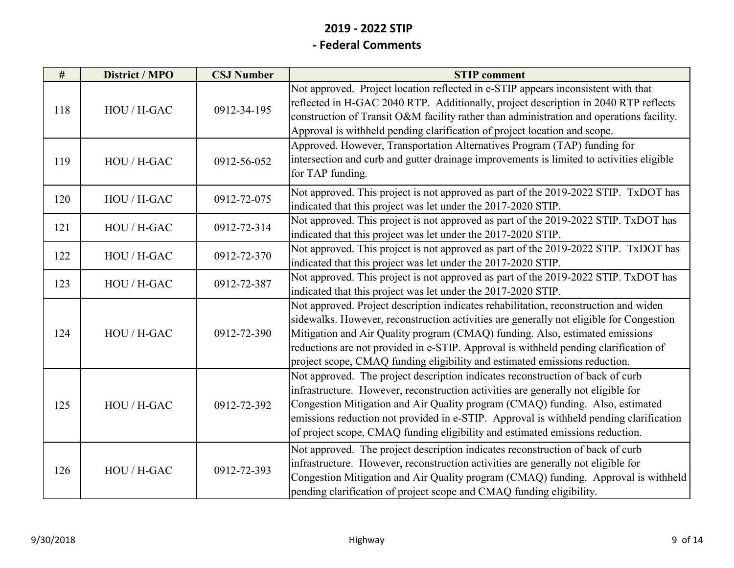| #   | District / MPO | <b>CSJ Number</b> | <b>STIP</b> comment                                                                                                                                                                                                                                                                                                                                                                                                                   |
|-----|----------------|-------------------|---------------------------------------------------------------------------------------------------------------------------------------------------------------------------------------------------------------------------------------------------------------------------------------------------------------------------------------------------------------------------------------------------------------------------------------|
| 118 | HOU / H-GAC    | 0912-34-195       | Not approved. Project location reflected in e-STIP appears inconsistent with that<br>reflected in H-GAC 2040 RTP. Additionally, project description in 2040 RTP reflects<br>construction of Transit O&M facility rather than administration and operations facility.<br>Approval is withheld pending clarification of project location and scope.                                                                                     |
| 119 | HOU / H-GAC    | 0912-56-052       | Approved. However, Transportation Alternatives Program (TAP) funding for<br>intersection and curb and gutter drainage improvements is limited to activities eligible<br>for TAP funding.                                                                                                                                                                                                                                              |
| 120 | HOU / H-GAC    | 0912-72-075       | Not approved. This project is not approved as part of the 2019-2022 STIP. TxDOT has<br>indicated that this project was let under the 2017-2020 STIP.                                                                                                                                                                                                                                                                                  |
| 121 | HOU / H-GAC    | 0912-72-314       | Not approved. This project is not approved as part of the 2019-2022 STIP. TxDOT has<br>indicated that this project was let under the 2017-2020 STIP.                                                                                                                                                                                                                                                                                  |
| 122 | HOU / H-GAC    | 0912-72-370       | Not approved. This project is not approved as part of the 2019-2022 STIP. TxDOT has<br>indicated that this project was let under the 2017-2020 STIP.                                                                                                                                                                                                                                                                                  |
| 123 | HOU / H-GAC    | 0912-72-387       | Not approved. This project is not approved as part of the 2019-2022 STIP. TxDOT has<br>indicated that this project was let under the 2017-2020 STIP.                                                                                                                                                                                                                                                                                  |
| 124 | HOU / H-GAC    | 0912-72-390       | Not approved. Project description indicates rehabilitation, reconstruction and widen<br>sidewalks. However, reconstruction activities are generally not eligible for Congestion<br>Mitigation and Air Quality program (CMAQ) funding. Also, estimated emissions<br>reductions are not provided in e-STIP. Approval is withheld pending clarification of<br>project scope, CMAQ funding eligibility and estimated emissions reduction. |
| 125 | HOU / H-GAC    | 0912-72-392       | Not approved. The project description indicates reconstruction of back of curb<br>infrastructure. However, reconstruction activities are generally not eligible for<br>Congestion Mitigation and Air Quality program (CMAQ) funding. Also, estimated<br>emissions reduction not provided in e-STIP. Approval is withheld pending clarification<br>of project scope, CMAQ funding eligibility and estimated emissions reduction.       |
| 126 | HOU / H-GAC    | 0912-72-393       | Not approved. The project description indicates reconstruction of back of curb<br>infrastructure. However, reconstruction activities are generally not eligible for<br>Congestion Mitigation and Air Quality program (CMAQ) funding. Approval is withheld<br>pending clarification of project scope and CMAQ funding eligibility.                                                                                                     |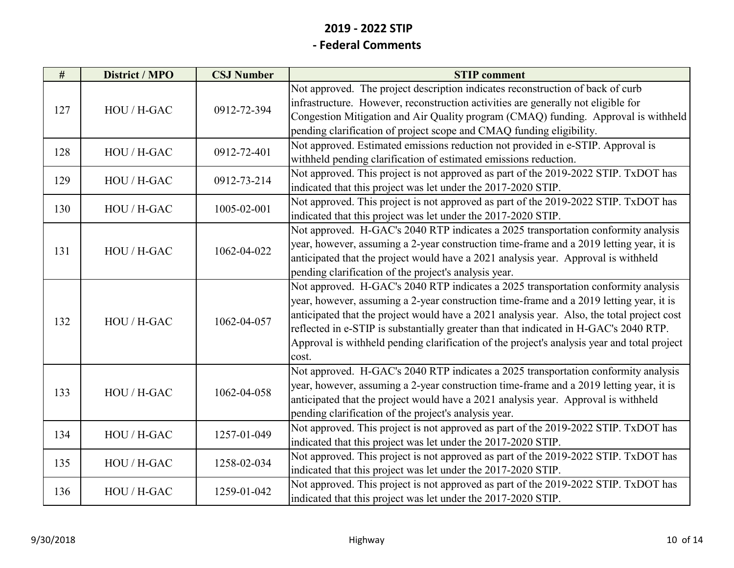| #   | District / MPO | <b>CSJ Number</b> | <b>STIP</b> comment                                                                                                                                                                                                                                                                                                                                                                                                                                                          |
|-----|----------------|-------------------|------------------------------------------------------------------------------------------------------------------------------------------------------------------------------------------------------------------------------------------------------------------------------------------------------------------------------------------------------------------------------------------------------------------------------------------------------------------------------|
| 127 | HOU / H-GAC    | 0912-72-394       | Not approved. The project description indicates reconstruction of back of curb<br>infrastructure. However, reconstruction activities are generally not eligible for<br>Congestion Mitigation and Air Quality program (CMAQ) funding. Approval is withheld<br>pending clarification of project scope and CMAQ funding eligibility.                                                                                                                                            |
| 128 | HOU / H-GAC    | 0912-72-401       | Not approved. Estimated emissions reduction not provided in e-STIP. Approval is<br>withheld pending clarification of estimated emissions reduction.                                                                                                                                                                                                                                                                                                                          |
| 129 | HOU / H-GAC    | 0912-73-214       | Not approved. This project is not approved as part of the 2019-2022 STIP. TxDOT has<br>indicated that this project was let under the 2017-2020 STIP.                                                                                                                                                                                                                                                                                                                         |
| 130 | HOU / H-GAC    | 1005-02-001       | Not approved. This project is not approved as part of the 2019-2022 STIP. TxDOT has<br>indicated that this project was let under the 2017-2020 STIP.                                                                                                                                                                                                                                                                                                                         |
| 131 | HOU / H-GAC    | 1062-04-022       | Not approved. H-GAC's 2040 RTP indicates a 2025 transportation conformity analysis<br>year, however, assuming a 2-year construction time-frame and a 2019 letting year, it is<br>anticipated that the project would have a 2021 analysis year. Approval is withheld<br>pending clarification of the project's analysis year.                                                                                                                                                 |
| 132 | HOU / H-GAC    | 1062-04-057       | Not approved. H-GAC's 2040 RTP indicates a 2025 transportation conformity analysis<br>year, however, assuming a 2-year construction time-frame and a 2019 letting year, it is<br>anticipated that the project would have a 2021 analysis year. Also, the total project cost<br>reflected in e-STIP is substantially greater than that indicated in H-GAC's 2040 RTP.<br>Approval is withheld pending clarification of the project's analysis year and total project<br>cost. |
| 133 | HOU / H-GAC    | 1062-04-058       | Not approved. H-GAC's 2040 RTP indicates a 2025 transportation conformity analysis<br>year, however, assuming a 2-year construction time-frame and a 2019 letting year, it is<br>anticipated that the project would have a 2021 analysis year. Approval is withheld<br>pending clarification of the project's analysis year.                                                                                                                                                 |
| 134 | HOU / H-GAC    | 1257-01-049       | Not approved. This project is not approved as part of the 2019-2022 STIP. TxDOT has<br>indicated that this project was let under the 2017-2020 STIP.                                                                                                                                                                                                                                                                                                                         |
| 135 | HOU / H-GAC    | 1258-02-034       | Not approved. This project is not approved as part of the 2019-2022 STIP. TxDOT has<br>indicated that this project was let under the 2017-2020 STIP.                                                                                                                                                                                                                                                                                                                         |
| 136 | HOU / H-GAC    | 1259-01-042       | Not approved. This project is not approved as part of the 2019-2022 STIP. TxDOT has<br>indicated that this project was let under the 2017-2020 STIP.                                                                                                                                                                                                                                                                                                                         |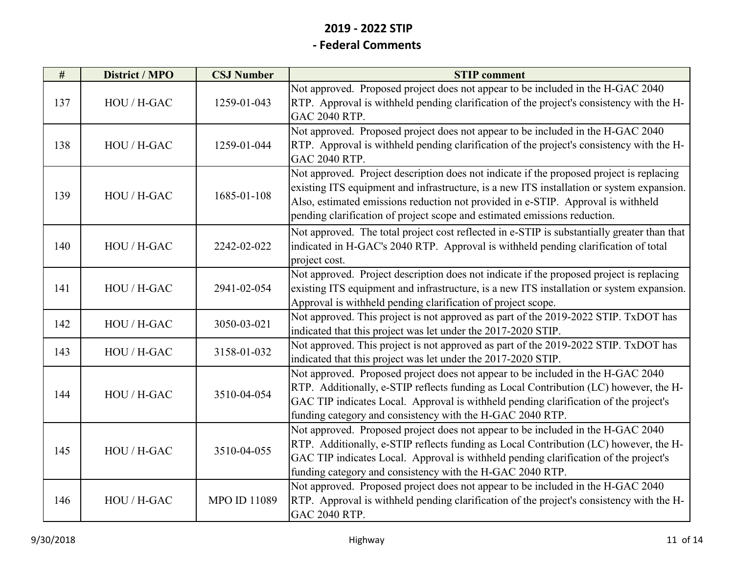# **2019 ‐ 2022 STIP**

#### **‐ Federal Comments**

| #   | <b>District / MPO</b> | <b>CSJ Number</b>   | <b>STIP</b> comment                                                                                                                                                                                                                                                                                                                                    |
|-----|-----------------------|---------------------|--------------------------------------------------------------------------------------------------------------------------------------------------------------------------------------------------------------------------------------------------------------------------------------------------------------------------------------------------------|
| 137 | HOU / H-GAC           | 1259-01-043         | Not approved. Proposed project does not appear to be included in the H-GAC 2040<br>RTP. Approval is withheld pending clarification of the project's consistency with the H-<br>GAC 2040 RTP.                                                                                                                                                           |
| 138 | HOU / H-GAC           | 1259-01-044         | Not approved. Proposed project does not appear to be included in the H-GAC 2040<br>RTP. Approval is withheld pending clarification of the project's consistency with the H-<br>GAC 2040 RTP.                                                                                                                                                           |
| 139 | HOU / H-GAC           | 1685-01-108         | Not approved. Project description does not indicate if the proposed project is replacing<br>existing ITS equipment and infrastructure, is a new ITS installation or system expansion.<br>Also, estimated emissions reduction not provided in e-STIP. Approval is withheld<br>pending clarification of project scope and estimated emissions reduction. |
| 140 | HOU / H-GAC           | 2242-02-022         | Not approved. The total project cost reflected in e-STIP is substantially greater than that<br>indicated in H-GAC's 2040 RTP. Approval is withheld pending clarification of total<br>project cost.                                                                                                                                                     |
| 141 | HOU / H-GAC           | 2941-02-054         | Not approved. Project description does not indicate if the proposed project is replacing<br>existing ITS equipment and infrastructure, is a new ITS installation or system expansion.<br>Approval is withheld pending clarification of project scope.                                                                                                  |
| 142 | HOU / H-GAC           | 3050-03-021         | Not approved. This project is not approved as part of the 2019-2022 STIP. TxDOT has<br>indicated that this project was let under the 2017-2020 STIP.                                                                                                                                                                                                   |
| 143 | HOU / H-GAC           | 3158-01-032         | Not approved. This project is not approved as part of the 2019-2022 STIP. TxDOT has<br>indicated that this project was let under the 2017-2020 STIP.                                                                                                                                                                                                   |
| 144 | HOU / H-GAC           | 3510-04-054         | Not approved. Proposed project does not appear to be included in the H-GAC 2040<br>RTP. Additionally, e-STIP reflects funding as Local Contribution (LC) however, the H-<br>GAC TIP indicates Local. Approval is withheld pending clarification of the project's<br>funding category and consistency with the H-GAC 2040 RTP.                          |
| 145 | HOU / H-GAC           | 3510-04-055         | Not approved. Proposed project does not appear to be included in the H-GAC 2040<br>RTP. Additionally, e-STIP reflects funding as Local Contribution (LC) however, the H-<br>GAC TIP indicates Local. Approval is withheld pending clarification of the project's<br>funding category and consistency with the H-GAC 2040 RTP.                          |
| 146 | HOU / H-GAC           | <b>MPO ID 11089</b> | Not approved. Proposed project does not appear to be included in the H-GAC 2040<br>RTP. Approval is withheld pending clarification of the project's consistency with the H-<br>GAC 2040 RTP.                                                                                                                                                           |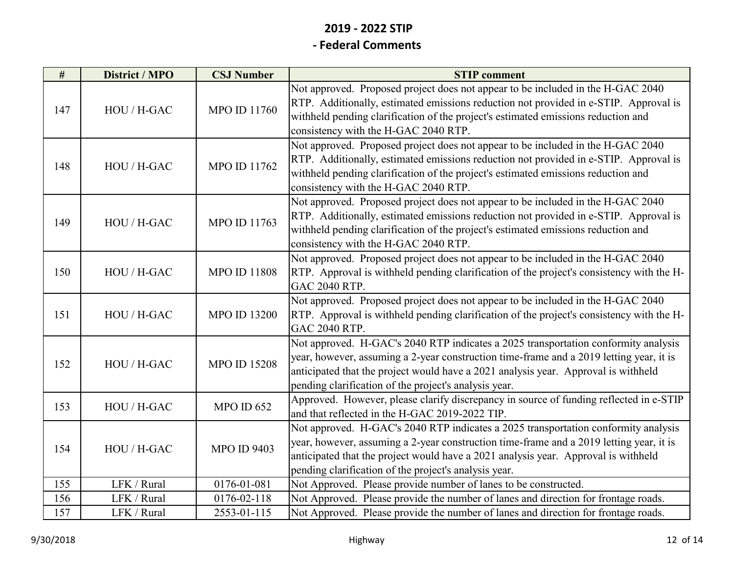| #   | District / MPO | <b>CSJ Number</b>   | <b>STIP</b> comment                                                                                                                                                                                                                                                                                                          |
|-----|----------------|---------------------|------------------------------------------------------------------------------------------------------------------------------------------------------------------------------------------------------------------------------------------------------------------------------------------------------------------------------|
| 147 | HOU / H-GAC    | <b>MPO ID 11760</b> | Not approved. Proposed project does not appear to be included in the H-GAC 2040<br>RTP. Additionally, estimated emissions reduction not provided in e-STIP. Approval is<br>withheld pending clarification of the project's estimated emissions reduction and<br>consistency with the H-GAC 2040 RTP.                         |
| 148 | HOU / H-GAC    | MPO ID 11762        | Not approved. Proposed project does not appear to be included in the H-GAC 2040<br>RTP. Additionally, estimated emissions reduction not provided in e-STIP. Approval is<br>withheld pending clarification of the project's estimated emissions reduction and<br>consistency with the H-GAC 2040 RTP.                         |
| 149 | HOU / H-GAC    | <b>MPO ID 11763</b> | Not approved. Proposed project does not appear to be included in the H-GAC 2040<br>RTP. Additionally, estimated emissions reduction not provided in e-STIP. Approval is<br>withheld pending clarification of the project's estimated emissions reduction and<br>consistency with the H-GAC 2040 RTP.                         |
| 150 | HOU / H-GAC    | <b>MPO ID 11808</b> | Not approved. Proposed project does not appear to be included in the H-GAC 2040<br>RTP. Approval is withheld pending clarification of the project's consistency with the H-<br>GAC 2040 RTP.                                                                                                                                 |
| 151 | HOU / H-GAC    | <b>MPO ID 13200</b> | Not approved. Proposed project does not appear to be included in the H-GAC 2040<br>RTP. Approval is withheld pending clarification of the project's consistency with the H-<br><b>GAC 2040 RTP.</b>                                                                                                                          |
| 152 | HOU / H-GAC    | <b>MPO ID 15208</b> | Not approved. H-GAC's 2040 RTP indicates a 2025 transportation conformity analysis<br>year, however, assuming a 2-year construction time-frame and a 2019 letting year, it is<br>anticipated that the project would have a 2021 analysis year. Approval is withheld<br>pending clarification of the project's analysis year. |
| 153 | HOU / H-GAC    | <b>MPO ID 652</b>   | Approved. However, please clarify discrepancy in source of funding reflected in e-STIP<br>and that reflected in the H-GAC 2019-2022 TIP.                                                                                                                                                                                     |
| 154 | HOU / H-GAC    | <b>MPO ID 9403</b>  | Not approved. H-GAC's 2040 RTP indicates a 2025 transportation conformity analysis<br>year, however, assuming a 2-year construction time-frame and a 2019 letting year, it is<br>anticipated that the project would have a 2021 analysis year. Approval is withheld<br>pending clarification of the project's analysis year. |
| 155 | LFK / Rural    | 0176-01-081         | Not Approved. Please provide number of lanes to be constructed.                                                                                                                                                                                                                                                              |
| 156 | LFK / Rural    | 0176-02-118         | Not Approved. Please provide the number of lanes and direction for frontage roads.                                                                                                                                                                                                                                           |
| 157 | LFK / Rural    | 2553-01-115         | Not Approved. Please provide the number of lanes and direction for frontage roads.                                                                                                                                                                                                                                           |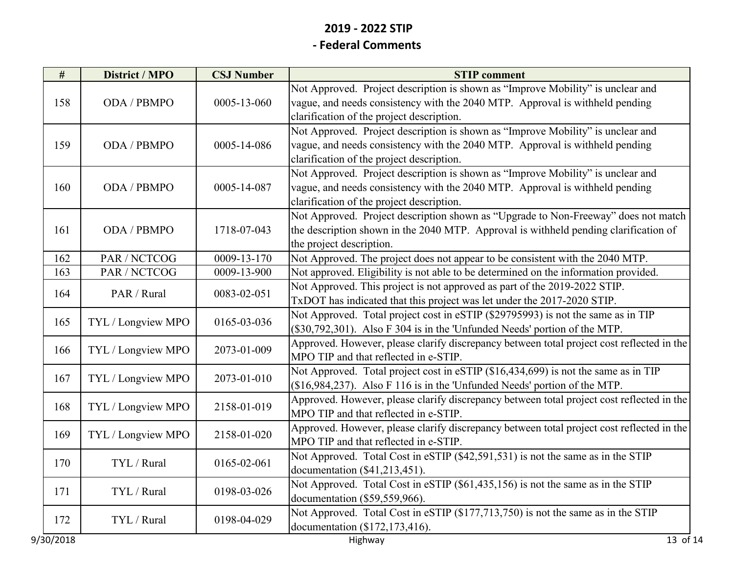| $\#$      | District / MPO     | <b>CSJ Number</b> | <b>STIP</b> comment                                                                                                                                                                                          |
|-----------|--------------------|-------------------|--------------------------------------------------------------------------------------------------------------------------------------------------------------------------------------------------------------|
| 158       | ODA / PBMPO        | 0005-13-060       | Not Approved. Project description is shown as "Improve Mobility" is unclear and<br>vague, and needs consistency with the 2040 MTP. Approval is withheld pending                                              |
|           |                    |                   | clarification of the project description.                                                                                                                                                                    |
| 159       | ODA / PBMPO        | 0005-14-086       | Not Approved. Project description is shown as "Improve Mobility" is unclear and<br>vague, and needs consistency with the 2040 MTP. Approval is withheld pending<br>clarification of the project description. |
| 160       | ODA / PBMPO        | 0005-14-087       | Not Approved. Project description is shown as "Improve Mobility" is unclear and<br>vague, and needs consistency with the 2040 MTP. Approval is withheld pending<br>clarification of the project description. |
| 161       | ODA / PBMPO        | 1718-07-043       | Not Approved. Project description shown as "Upgrade to Non-Freeway" does not match<br>the description shown in the 2040 MTP. Approval is withheld pending clarification of<br>the project description.       |
| 162       | PAR / NCTCOG       | 0009-13-170       | Not Approved. The project does not appear to be consistent with the 2040 MTP.                                                                                                                                |
| 163       | PAR / NCTCOG       | 0009-13-900       | Not approved. Eligibility is not able to be determined on the information provided.                                                                                                                          |
| 164       | PAR / Rural        | 0083-02-051       | Not Approved. This project is not approved as part of the 2019-2022 STIP.<br>TxDOT has indicated that this project was let under the 2017-2020 STIP.                                                         |
| 165       | TYL / Longview MPO | 0165-03-036       | Not Approved. Total project cost in eSTIP (\$29795993) is not the same as in TIP<br>(\$30,792,301). Also F 304 is in the 'Unfunded Needs' portion of the MTP.                                                |
| 166       | TYL / Longview MPO | 2073-01-009       | Approved. However, please clarify discrepancy between total project cost reflected in the<br>MPO TIP and that reflected in e-STIP.                                                                           |
| 167       | TYL / Longview MPO | 2073-01-010       | Not Approved. Total project cost in eSTIP (\$16,434,699) is not the same as in TIP<br>(\$16,984,237). Also F 116 is in the 'Unfunded Needs' portion of the MTP.                                              |
| 168       | TYL / Longview MPO | 2158-01-019       | Approved. However, please clarify discrepancy between total project cost reflected in the<br>MPO TIP and that reflected in e-STIP.                                                                           |
| 169       | TYL / Longview MPO | 2158-01-020       | Approved. However, please clarify discrepancy between total project cost reflected in the<br>MPO TIP and that reflected in e-STIP.                                                                           |
| 170       | TYL / Rural        | 0165-02-061       | Not Approved. Total Cost in eSTIP (\$42,591,531) is not the same as in the STIP<br>documentation (\$41,213,451).                                                                                             |
| 171       | TYL / Rural        | 0198-03-026       | Not Approved. Total Cost in eSTIP (\$61,435,156) is not the same as in the STIP<br>documentation (\$59,559,966).                                                                                             |
| 172       | TYL / Rural        | 0198-04-029       | Not Approved. Total Cost in eSTIP (\$177,713,750) is not the same as in the STIP<br>documentation (\$172,173,416).                                                                                           |
| 9/30/2018 |                    |                   | $\overline{13}$ of 14<br>Highway                                                                                                                                                                             |